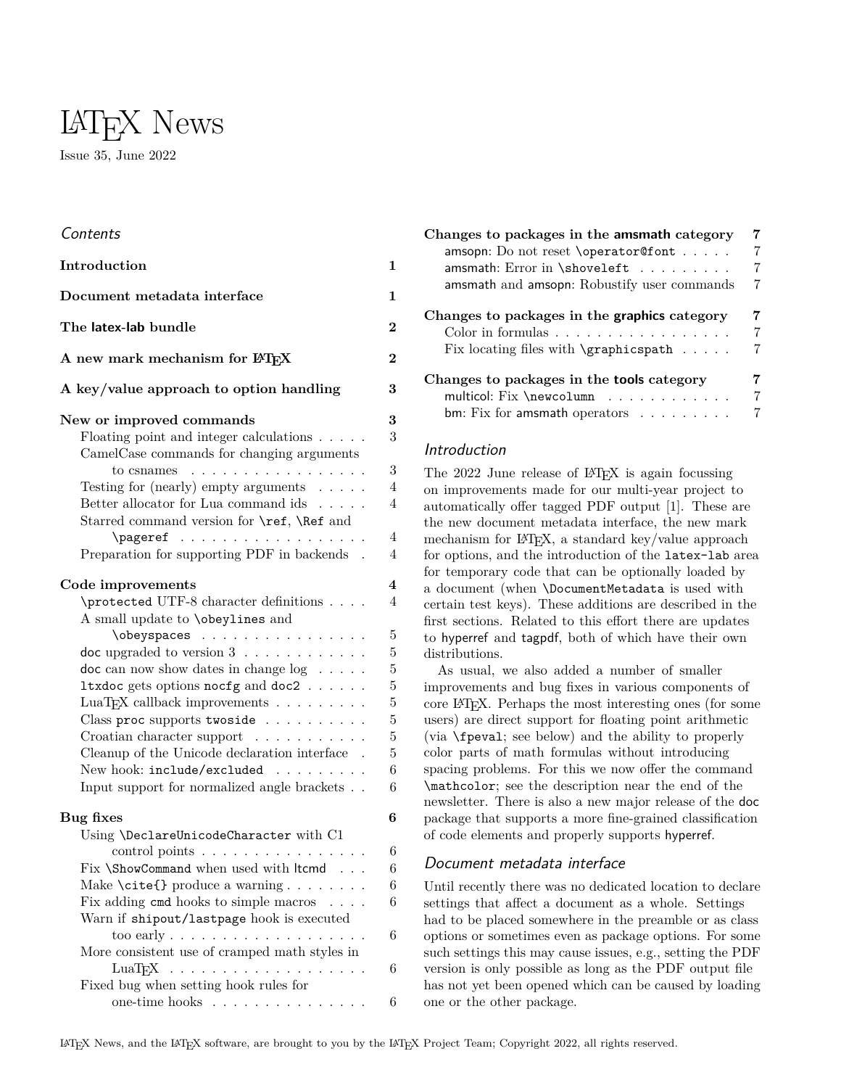# LATEX News Issue 35, June 2022

# **Contents**

| Document metadata interface<br>1<br>The latex-lab bundle<br>A new mark mechanism for IATFX<br>A key/value approach to option handling<br>New or improved commands |
|-------------------------------------------------------------------------------------------------------------------------------------------------------------------|
| $\bf{2}$                                                                                                                                                          |
| $\overline{2}$<br>3<br>3                                                                                                                                          |
|                                                                                                                                                                   |
|                                                                                                                                                                   |
|                                                                                                                                                                   |
| 3<br>Floating point and integer calculations $\ldots$ .                                                                                                           |
| CamelCase commands for changing arguments                                                                                                                         |
| 3<br>to csnames $\ldots \ldots \ldots \ldots \ldots$                                                                                                              |
| Testing for (nearly) empty arguments $\ldots \ldots$<br>$\overline{4}$                                                                                            |
| Better allocator for Lua command ids $\ldots$ .<br>$\overline{4}$                                                                                                 |
| Starred command version for \ref, \Ref and                                                                                                                        |
| $\overline{4}$<br>\pageref                                                                                                                                        |
| Preparation for supporting PDF in backends .<br>4                                                                                                                 |
|                                                                                                                                                                   |
| $\overline{\mathbf{4}}$<br>Code improvements                                                                                                                      |
| $\overline{4}$<br>\protected UTF-8 character definitions                                                                                                          |
| A small update to <b>\obeylines</b> and                                                                                                                           |
| $\overline{5}$<br>\obeyspaces                                                                                                                                     |
| 5<br>doc upgraded to version $3 \ldots \ldots \ldots$                                                                                                             |
| $\overline{5}$<br>$\phi$ doc can now show dates in change $\log \ldots \ldots$                                                                                    |
| $\overline{5}$<br>ltxdoc gets options nocfg and doc2                                                                                                              |
| $\overline{5}$<br>LuaT <sub>F</sub> X callback improvements $\ldots \ldots \ldots$                                                                                |
| $\overline{5}$<br>Class proc supports two side                                                                                                                    |
| $\overline{5}$<br>Croatian character support                                                                                                                      |
| $\overline{5}$<br>Cleanup of the Unicode declaration interface $\;$ .                                                                                             |
| 6<br>New hook: include/excluded                                                                                                                                   |
| 6<br>Input support for normalized angle brackets                                                                                                                  |
|                                                                                                                                                                   |
| 6<br>Bug fixes                                                                                                                                                    |
| Using \DeclareUnicodeCharacter with C1                                                                                                                            |
| control points<br>6                                                                                                                                               |
| Fix \ShowCommand when used with ltcmd<br>$\boldsymbol{6}$                                                                                                         |
| 6<br>Make \cite{} produce a warning                                                                                                                               |
| $\overline{6}$<br>Fix adding cmd hooks to simple macros                                                                                                           |
| Warn if shipout/lastpage hook is executed                                                                                                                         |
| 6<br>too early $\ldots$                                                                                                                                           |
| More consistent use of cramped math styles in                                                                                                                     |
| 6                                                                                                                                                                 |
| Fixed bug when setting hook rules for                                                                                                                             |
| one-time hooks<br>6                                                                                                                                               |

| Changes to packages in the amsmath category<br>amsopn: Do not reset \operator@font<br>$amsmath$ : Error in $\simeq$ and $\cdots$<br>amsmath and amsopn: Robustify user commands | 7<br>7<br>7<br>7 |
|---------------------------------------------------------------------------------------------------------------------------------------------------------------------------------|------------------|
| Changes to packages in the graphics category<br>Color in formulas $\ldots \ldots \ldots \ldots \ldots$<br>Fix locating files with $\qquad$ $\ldots$ .                           | 7<br>7           |
| Changes to packages in the <b>tools</b> category<br>multicol: Fix \newcolumn<br>bm: Fix for amsmath operators $\dots \dots$                                                     | 7                |

# <span id="page-0-0"></span>Introduction

The 2022 June release of IAT<sub>EX</sub> is again focussing on improvements made for our multi-year project to automatically offer tagged PDF output [\[1\]](#page-7-0). These are the new document metadata interface, the new mark mechanism for LAT<sub>EX</sub>, a standard key/value approach for options, and the introduction of the latex-lab area for temporary code that can be optionally loaded by a document (when \DocumentMetadata is used with certain test keys). These additions are described in the first sections. Related to this effort there are updates to hyperref and tagpdf, both of which have their own distributions.

As usual, we also added a number of smaller improvements and bug fixes in various components of core LATEX. Perhaps the most interesting ones (for some users) are direct support for floating point arithmetic (via \fpeval; see below) and the ability to properly color parts of math formulas without introducing spacing problems. For this we now offer the command \mathcolor; see the description near the end of the newsletter. There is also a new major release of the doc package that supports a more fine-grained classification of code elements and properly supports hyperref.

# <span id="page-0-1"></span>Document metadata interface

Until recently there was no dedicated location to declare settings that affect a document as a whole. Settings had to be placed somewhere in the preamble or as class options or sometimes even as package options. For some such settings this may cause issues, e.g., setting the PDF version is only possible as long as the PDF output file has not yet been opened which can be caused by loading one or the other package.

LATEX News, and the LATEX software, are brought to you by the LATEX Project Team; Copyright 2022, all rights reserved.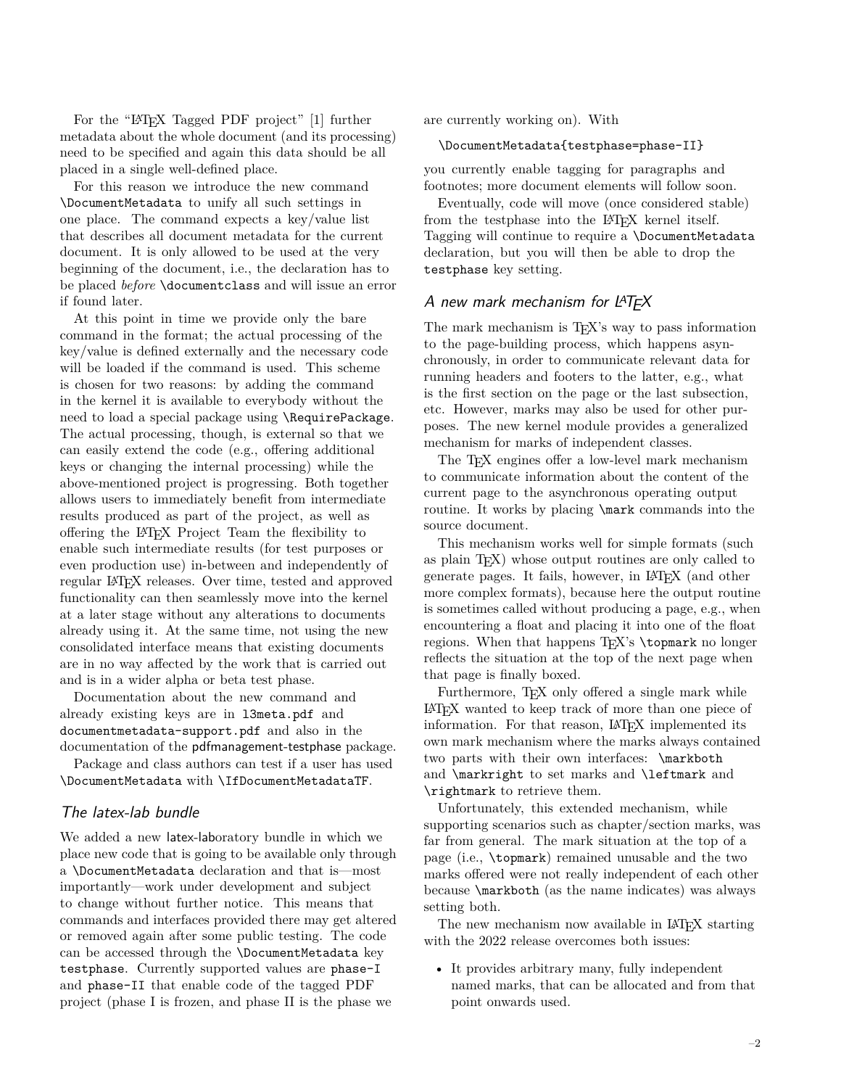For the "LAT<sub>E</sub>X Tagged PDF project" [\[1\]](#page-7-0) further metadata about the whole document (and its processing) need to be specified and again this data should be all placed in a single well-defined place.

For this reason we introduce the new command \DocumentMetadata to unify all such settings in one place. The command expects a key/value list that describes all document metadata for the current document. It is only allowed to be used at the very beginning of the document, i.e., the declaration has to be placed *before* \documentclass and will issue an error if found later.

At this point in time we provide only the bare command in the format; the actual processing of the key/value is defined externally and the necessary code will be loaded if the command is used. This scheme is chosen for two reasons: by adding the command in the kernel it is available to everybody without the need to load a special package using \RequirePackage. The actual processing, though, is external so that we can easily extend the code (e.g., offering additional keys or changing the internal processing) while the above-mentioned project is progressing. Both together allows users to immediately benefit from intermediate results produced as part of the project, as well as offering the LATEX Project Team the flexibility to enable such intermediate results (for test purposes or even production use) in-between and independently of regular LATEX releases. Over time, tested and approved functionality can then seamlessly move into the kernel at a later stage without any alterations to documents already using it. At the same time, not using the new consolidated interface means that existing documents are in no way affected by the work that is carried out and is in a wider alpha or beta test phase.

Documentation about the new command and already existing keys are in l3meta.pdf and documentmetadata-support.pdf and also in the documentation of the pdfmanagement-testphase package.

Package and class authors can test if a user has used \DocumentMetadata with \IfDocumentMetadataTF.

# <span id="page-1-0"></span>The latex-lab bundle

We added a new latex-laboratory bundle in which we place new code that is going to be available only through a \DocumentMetadata declaration and that is—most importantly—work under development and subject to change without further notice. This means that commands and interfaces provided there may get altered or removed again after some public testing. The code can be accessed through the \DocumentMetadata key testphase. Currently supported values are phase-I and phase-II that enable code of the tagged PDF project (phase I is frozen, and phase II is the phase we

are currently working on). With

#### \DocumentMetadata{testphase=phase-II}

you currently enable tagging for paragraphs and footnotes; more document elements will follow soon.

Eventually, code will move (once considered stable) from the testphase into the IAT<sub>E</sub>X kernel itself. Tagging will continue to require a \DocumentMetadata declaration, but you will then be able to drop the testphase key setting.

# <span id="page-1-1"></span>A new mark mechanism for LATFX

The mark mechanism is  $T_{F}X$ 's way to pass information to the page-building process, which happens asynchronously, in order to communicate relevant data for running headers and footers to the latter, e.g., what is the first section on the page or the last subsection, etc. However, marks may also be used for other purposes. The new kernel module provides a generalized mechanism for marks of independent classes.

The T<sub>F</sub>X engines offer a low-level mark mechanism to communicate information about the content of the current page to the asynchronous operating output routine. It works by placing \mark commands into the source document.

This mechanism works well for simple formats (such as plain TEX) whose output routines are only called to generate pages. It fails, however, in LATEX (and other more complex formats), because here the output routine is sometimes called without producing a page, e.g., when encountering a float and placing it into one of the float regions. When that happens T<sub>EX</sub>'s \topmark no longer reflects the situation at the top of the next page when that page is finally boxed.

Furthermore, T<sub>EX</sub> only offered a single mark while LATEX wanted to keep track of more than one piece of information. For that reason, LAT<sub>E</sub>X implemented its own mark mechanism where the marks always contained two parts with their own interfaces: \markboth and \markright to set marks and \leftmark and \rightmark to retrieve them.

Unfortunately, this extended mechanism, while supporting scenarios such as chapter/section marks, was far from general. The mark situation at the top of a page (i.e., \topmark) remained unusable and the two marks offered were not really independent of each other because \markboth (as the name indicates) was always setting both.

The new mechanism now available in LAT<sub>EX</sub> starting with the 2022 release overcomes both issues:

• It provides arbitrary many, fully independent named marks, that can be allocated and from that point onwards used.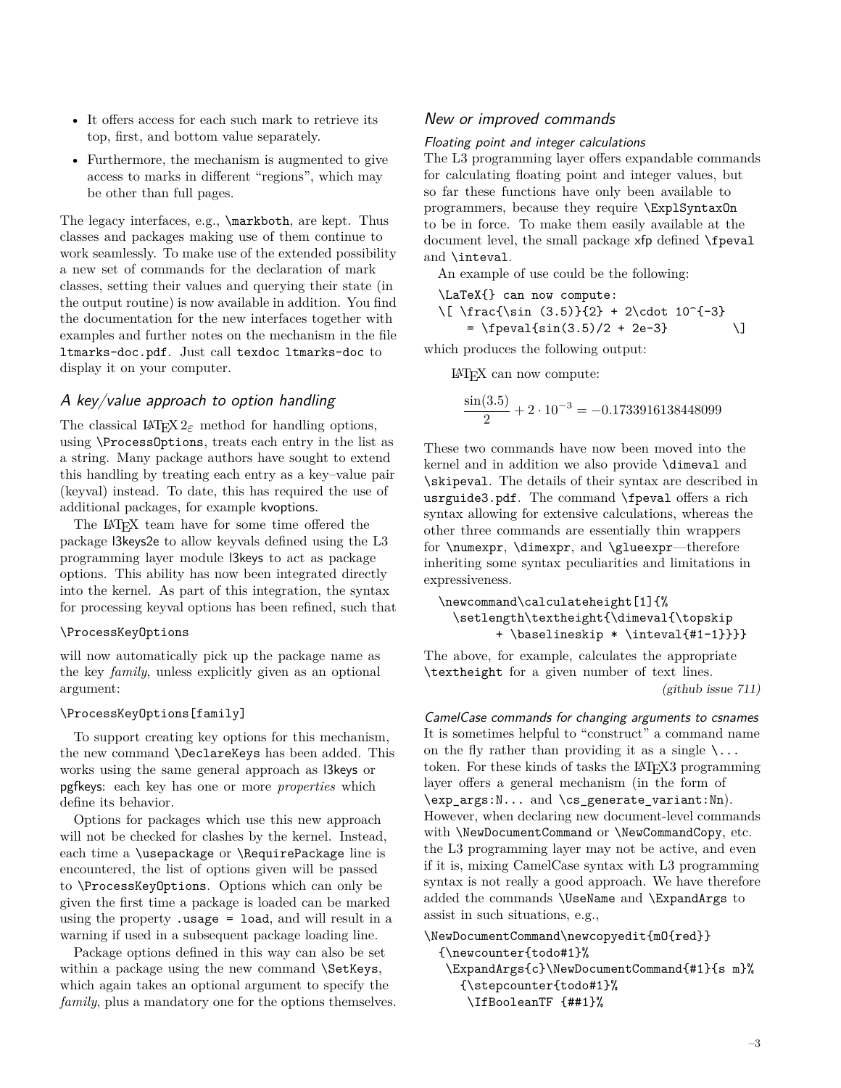- It offers access for each such mark to retrieve its top, first, and bottom value separately.
- Furthermore, the mechanism is augmented to give access to marks in different "regions", which may be other than full pages.

The legacy interfaces, e.g., \markboth, are kept. Thus classes and packages making use of them continue to work seamlessly. To make use of the extended possibility a new set of commands for the declaration of mark classes, setting their values and querying their state (in the output routine) is now available in addition. You find the documentation for the new interfaces together with examples and further notes on the mechanism in the file ltmarks-doc.pdf. Just call texdoc ltmarks-doc to display it on your computer.

# <span id="page-2-0"></span>A key/value approach to option handling

The classical LAT<sub>EX</sub>  $2\varepsilon$  method for handling options, using \ProcessOptions, treats each entry in the list as a string. Many package authors have sought to extend this handling by treating each entry as a key–value pair (keyval) instead. To date, this has required the use of additional packages, for example kvoptions.

The LATEX team have for some time offered the package l3keys2e to allow keyvals defined using the L3 programming layer module l3keys to act as package options. This ability has now been integrated directly into the kernel. As part of this integration, the syntax for processing keyval options has been refined, such that

#### \ProcessKeyOptions

will now automatically pick up the package name as the key *family*, unless explicitly given as an optional argument:

# \ProcessKeyOptions[family]

To support creating key options for this mechanism, the new command \DeclareKeys has been added. This works using the same general approach as l3keys or pgfkeys: each key has one or more *properties* which define its behavior.

Options for packages which use this new approach will not be checked for clashes by the kernel. Instead, each time a \usepackage or \RequirePackage line is encountered, the list of options given will be passed to \ProcessKeyOptions. Options which can only be given the first time a package is loaded can be marked using the property .usage = load, and will result in a warning if used in a subsequent package loading line.

Package options defined in this way can also be set within a package using the new command \SetKeys, which again takes an optional argument to specify the *family*, plus a mandatory one for the options themselves.

## <span id="page-2-1"></span>New or improved commands

#### <span id="page-2-2"></span>Floating point and integer calculations

The L3 programming layer offers expandable commands for calculating floating point and integer values, but so far these functions have only been available to programmers, because they require \ExplSyntaxOn to be in force. To make them easily available at the document level, the small package xfp defined \fpeval and \inteval.

An example of use could be the following:

\LaTeX{} can now compute:

```
\[ \frac{\sin (3.5)}{2} + 2\cdot 10^{-3}
```

$$
= \frac{1}{\sin(3.5)} / 2 + 2e - 3
$$

which produces the following output:

LATEX can now compute:

$$
\frac{\sin(3.5)}{2} + 2 \cdot 10^{-3} = -0.1733916138448099
$$

These two commands have now been moved into the kernel and in addition we also provide \dimeval and \skipeval. The details of their syntax are described in usrguide3.pdf. The command \fpeval offers a rich syntax allowing for extensive calculations, whereas the other three commands are essentially thin wrappers for \numexpr, \dimexpr, and \glueexpr—therefore inheriting some syntax peculiarities and limitations in expressiveness.

```
\newcommand\calculateheight[1]{%
  \setlength\textheight{\dimeval{\topskip
        + \baselineskip * \inteval{#1-1}}}}
```
The above, for example, calculates the appropriate \textheight for a given number of text lines. [\(github issue 711\)](https://github.com/latex3/latex2e/issues/711)

<span id="page-2-3"></span>CamelCase commands for changing arguments to csnames It is sometimes helpful to "construct" a command name on the fly rather than providing it as a single  $\ldots$ token. For these kinds of tasks the LAT<sub>EX</sub>3 programming layer offers a general mechanism (in the form of \exp\_args:N... and \cs\_generate\_variant:Nn). However, when declaring new document-level commands with \NewDocumentCommand or \NewCommandCopy, etc. the L3 programming layer may not be active, and even if it is, mixing CamelCase syntax with L3 programming syntax is not really a good approach. We have therefore added the commands \UseName and \ExpandArgs to assist in such situations, e.g.,

# \NewDocumentCommand\newcopyedit{mO{red}} {\newcounter{todo#1}% \ExpandArgs{c}\NewDocumentCommand{#1}{s m}% {\stepcounter{todo#1}% \IfBooleanTF {##1}%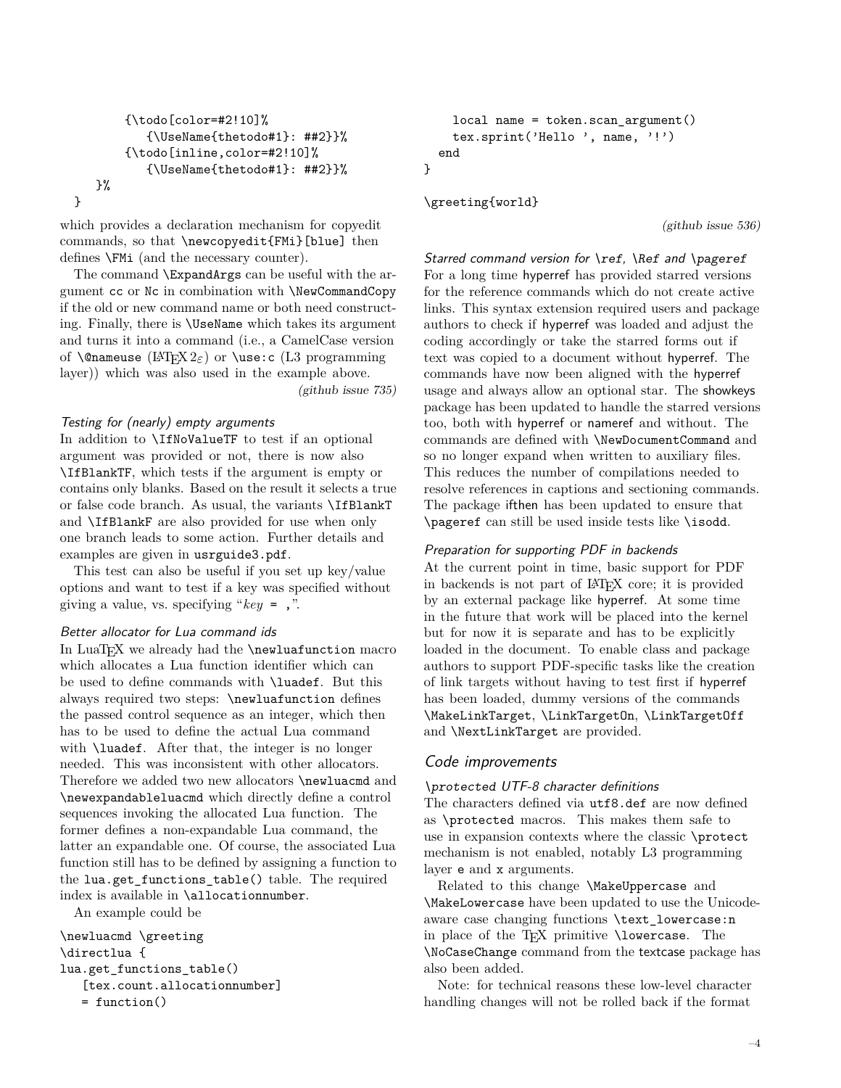```
{\todo[color=#2!10]%
        {\UseName{thetodo#1}: ##2}}%
    {\todo[inline,color=#2!10]%
       {\UseName{thetodo#1}: ##2}}%
\frac{1}{2}%
```
which provides a declaration mechanism for copyedit commands, so that \newcopyedit{FMi}[blue] then defines \FMi (and the necessary counter).

The command \ExpandArgs can be useful with the argument cc or Nc in combination with \NewCommandCopy if the old or new command name or both need constructing. Finally, there is \UseName which takes its argument and turns it into a command (i.e., a CamelCase version of \@nameuse (LATEX 2*ε*) or \use:c (L3 programming layer)) which was also used in the example above. [\(github issue 735\)](https://github.com/latex3/latex2e/issues/735)

## <span id="page-3-0"></span>Testing for (nearly) empty arguments

}

In addition to \IfNoValueTF to test if an optional argument was provided or not, there is now also \IfBlankTF, which tests if the argument is empty or contains only blanks. Based on the result it selects a true or false code branch. As usual, the variants \IfBlankT and \IfBlankF are also provided for use when only one branch leads to some action. Further details and examples are given in usrguide3.pdf.

This test can also be useful if you set up key/value options and want to test if a key was specified without giving a value, vs. specifying "*key* = ,".

# <span id="page-3-1"></span>Better allocator for Lua command ids

In LuaT<sub>EX</sub> we already had the \newluafunction macro which allocates a Lua function identifier which can be used to define commands with \luadef. But this always required two steps: \newluafunction defines the passed control sequence as an integer, which then has to be used to define the actual Lua command with **\luadef**. After that, the integer is no longer needed. This was inconsistent with other allocators. Therefore we added two new allocators \newluacmd and \newexpandableluacmd which directly define a control sequences invoking the allocated Lua function. The former defines a non-expandable Lua command, the latter an expandable one. Of course, the associated Lua function still has to be defined by assigning a function to the lua.get\_functions\_table() table. The required index is available in \allocationnumber.

An example could be

```
\newluacmd \greeting
\directlua {
lua.get functions table()
   [tex.count.allocationnumber]
   = function()
```

```
local name = token.scan_argument()
   tex.sprint('Hello ', name, '!')
 end
}
```
\greeting{world}

[\(github issue 536\)](https://github.com/latex3/latex2e/issues/536)

<span id="page-3-2"></span>Starred command version for \ref, \Ref and \pageref For a long time hyperref has provided starred versions for the reference commands which do not create active links. This syntax extension required users and package authors to check if hyperref was loaded and adjust the coding accordingly or take the starred forms out if text was copied to a document without hyperref. The commands have now been aligned with the hyperref usage and always allow an optional star. The showkeys package has been updated to handle the starred versions too, both with hyperref or nameref and without. The commands are defined with \NewDocumentCommand and so no longer expand when written to auxiliary files. This reduces the number of compilations needed to resolve references in captions and sectioning commands. The package ifthen has been updated to ensure that \pageref can still be used inside tests like \isodd.

## <span id="page-3-3"></span>Preparation for supporting PDF in backends

At the current point in time, basic support for PDF in backends is not part of LATEX core; it is provided by an external package like hyperref. At some time in the future that work will be placed into the kernel but for now it is separate and has to be explicitly loaded in the document. To enable class and package authors to support PDF-specific tasks like the creation of link targets without having to test first if hyperref has been loaded, dummy versions of the commands \MakeLinkTarget, \LinkTargetOn, \LinkTargetOff and \NextLinkTarget are provided.

# <span id="page-3-4"></span>Code improvements

# <span id="page-3-5"></span>\protected UTF-8 character definitions

The characters defined via utf8.def are now defined as \protected macros. This makes them safe to use in expansion contexts where the classic \protect mechanism is not enabled, notably L3 programming layer e and x arguments.

Related to this change \MakeUppercase and \MakeLowercase have been updated to use the Unicodeaware case changing functions \text\_lowercase:n in place of the T<sub>F</sub>X primitive \lowercase. The \NoCaseChange command from the textcase package has also been added.

Note: for technical reasons these low-level character handling changes will not be rolled back if the format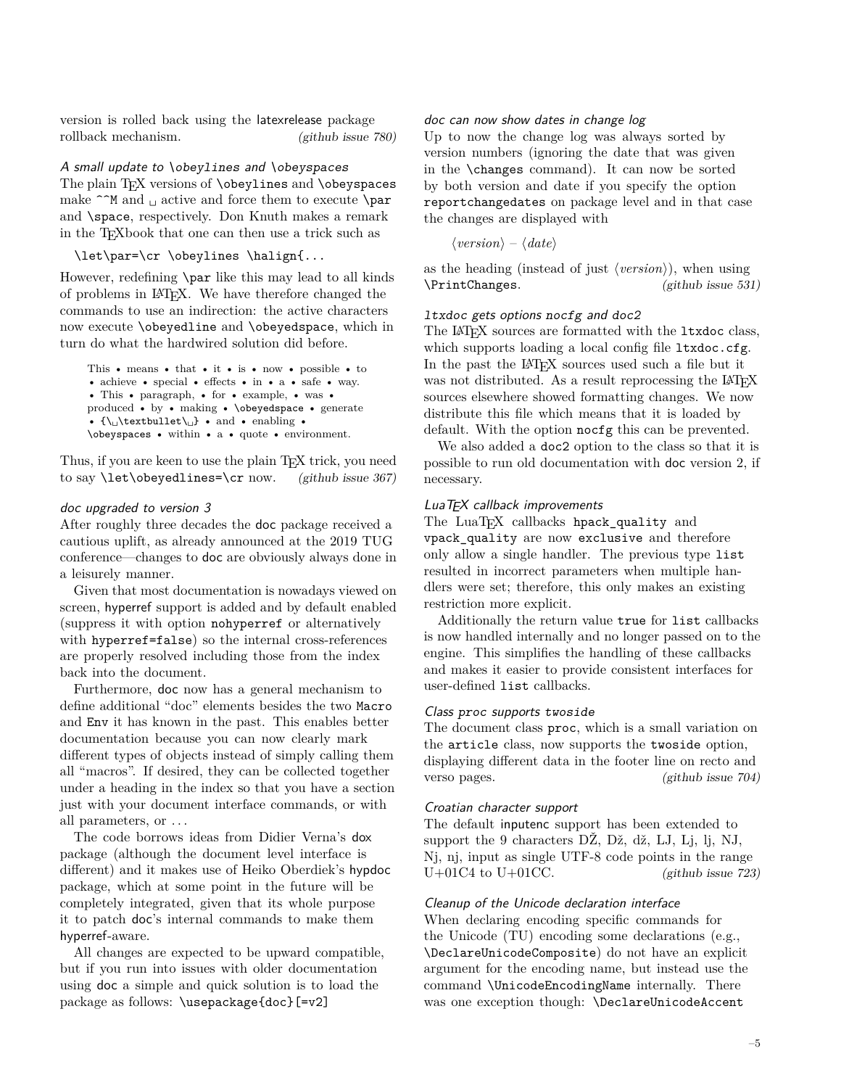version is rolled back using the latexrelease package rollback mechanism. [\(github issue 780\)](https://github.com/latex3/latex2e/issues/780)

<span id="page-4-0"></span>A small update to \obeylines and \obeyspaces The plain T<sub>E</sub>X versions of **\obeylines** and **\obeyspaces** make  $\hat{\ }$  m and  $\hat{\ }$  active and force them to execute **\par** and **\space**, respectively. Don Knuth makes a remark in the TEXbook that one can then use a trick such as

\let\par=\cr \obeylines \halign{...

However, redefining \par like this may lead to all kinds of problems in LATEX. We have therefore changed the commands to use an indirection: the active characters now execute \obeyedline and \obeyedspace, which in turn do what the hardwired solution did before.

```
This • means • that • it • is • now • possible • to
• achieve • special • effects • in • a • safe • way.
• This • paragraph, • for • example, • was •
produced • by • making • \obeyedspace • generate
• \{\setminus \cup \text{textbullet}\setminus \cup\} • and • enabling •
\obeyspaces • within • a • quote • environment.
```
Thus, if you are keen to use the plain T<sub>E</sub>X trick, you need to say  $\let\ob{evedlines}$  [\(github issue 367\)](https://github.com/latex3/latex2e/issues/367)

## <span id="page-4-1"></span>doc upgraded to version 3

After roughly three decades the doc package received a cautious uplift, as already announced at the 2019 TUG conference—changes to doc are obviously always done in a leisurely manner.

Given that most documentation is nowadays viewed on screen, hyperref support is added and by default enabled (suppress it with option nohyperref or alternatively with hyperref=false) so the internal cross-references are properly resolved including those from the index back into the document.

Furthermore, doc now has a general mechanism to define additional "doc" elements besides the two Macro and Env it has known in the past. This enables better documentation because you can now clearly mark different types of objects instead of simply calling them all "macros". If desired, they can be collected together under a heading in the index so that you have a section just with your document interface commands, or with all parameters, or . . .

The code borrows ideas from Didier Verna's dox package (although the document level interface is different) and it makes use of Heiko Oberdiek's hypdoc package, which at some point in the future will be completely integrated, given that its whole purpose it to patch doc's internal commands to make them hyperref-aware.

All changes are expected to be upward compatible, but if you run into issues with older documentation using doc a simple and quick solution is to load the package as follows: \usepackage{doc}[=v2]

## <span id="page-4-2"></span>doc can now show dates in change log

Up to now the change log was always sorted by version numbers (ignoring the date that was given in the \changes command). It can now be sorted by both version and date if you specify the option reportchangedates on package level and in that case the changes are displayed with

⟨*version*⟩ – ⟨*date*⟩

as the heading (instead of just ⟨*version*⟩), when using \PrintChanges. [\(github issue 531\)](https://github.com/latex3/latex2e/issues/531)

## <span id="page-4-3"></span>ltxdoc gets options nocfg and doc2

The LAT<sub>E</sub>X sources are formatted with the 1txdoc class, which supports loading a local config file ltxdoc.cfg. In the past the LAT<sub>EX</sub> sources used such a file but it was not distributed. As a result reprocessing the LAT<sub>EX</sub> sources elsewhere showed formatting changes. We now distribute this file which means that it is loaded by default. With the option nocfg this can be prevented.

We also added a doc2 option to the class so that it is possible to run old documentation with doc version 2, if necessary.

## <span id="page-4-4"></span>LuaT<sub>F</sub>X callback improvements

The LuaT<sub>EX</sub> callbacks hpack\_quality and vpack\_quality are now exclusive and therefore only allow a single handler. The previous type list resulted in incorrect parameters when multiple handlers were set; therefore, this only makes an existing restriction more explicit.

Additionally the return value true for list callbacks is now handled internally and no longer passed on to the engine. This simplifies the handling of these callbacks and makes it easier to provide consistent interfaces for user-defined list callbacks.

### <span id="page-4-5"></span>Class proc supports twoside

The document class proc, which is a small variation on the article class, now supports the twoside option, displaying different data in the footer line on recto and verso pages. [\(github issue 704\)](https://github.com/latex3/latex2e/issues/704)

#### <span id="page-4-6"></span>Croatian character support

The default inputenc support has been extended to support the 9 characters DŽ, Dž, dž, LJ, Lj, lj, NJ, Nj, nj, input as single UTF-8 code points in the range  $U+01C4$  to  $U+01CC$ . [\(github issue 723\)](https://github.com/latex3/latex2e/issues/723)

#### <span id="page-4-7"></span>Cleanup of the Unicode declaration interface

When declaring encoding specific commands for the Unicode (TU) encoding some declarations (e.g., \DeclareUnicodeComposite) do not have an explicit argument for the encoding name, but instead use the command \UnicodeEncodingName internally. There was one exception though: \DeclareUnicodeAccent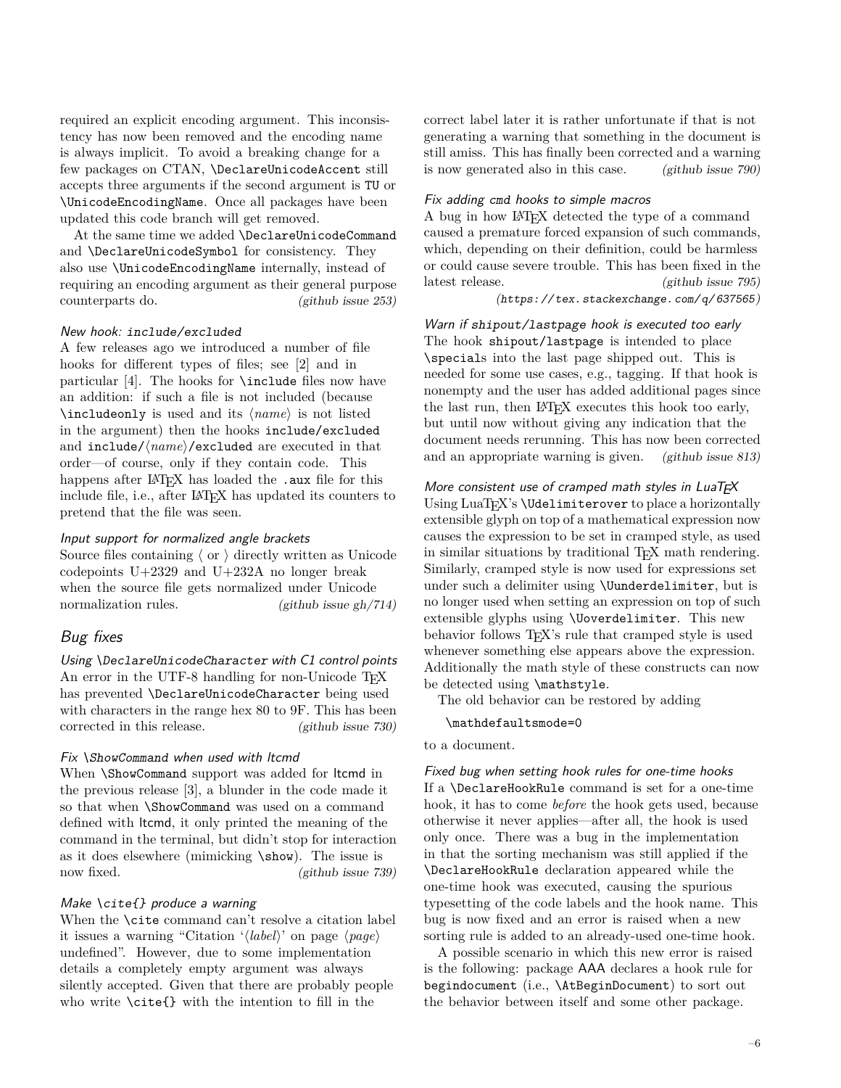required an explicit encoding argument. This inconsistency has now been removed and the encoding name is always implicit. To avoid a breaking change for a few packages on CTAN, \DeclareUnicodeAccent still accepts three arguments if the second argument is TU or \UnicodeEncodingName. Once all packages have been updated this code branch will get removed.

At the same time we added \DeclareUnicodeCommand and \DeclareUnicodeSymbol for consistency. They also use \UnicodeEncodingName internally, instead of requiring an encoding argument as their general purpose counterparts do. [\(github issue 253\)](https://github.com/latex3/latex2e/issues/253)

#### <span id="page-5-0"></span>New hook: include/excluded

A few releases ago we introduced a number of file hooks for different types of files; see [\[2\]](#page-7-1) and in particular [\[4\]](#page-7-2). The hooks for \include files now have an addition: if such a file is not included (because \includeonly is used and its ⟨*name*⟩ is not listed in the argument) then the hooks include/excluded and include/⟨*name*⟩/excluded are executed in that order—of course, only if they contain code. This happens after LAT<sub>EX</sub> has loaded the .aux file for this include file, i.e., after LAT<sub>EX</sub> has updated its counters to pretend that the file was seen.

#### <span id="page-5-1"></span>Input support for normalized angle brackets

Source files containing 〈 or 〉 directly written as Unicode codepoints U+2329 and U+232A no longer break when the source file gets normalized under Unicode normalization rules. [\(github issue gh/714\)](https://github.com/latex3/latex2e/issues/gh/714)

## <span id="page-5-2"></span>Bug fixes

<span id="page-5-3"></span>Using \DeclareUnicodeCharacter with C1 control points An error in the UTF-8 handling for non-Unicode T<sub>F</sub>X has prevented \DeclareUnicodeCharacter being used with characters in the range hex 80 to 9F. This has been corrected in this release. [\(github issue 730\)](https://github.com/latex3/latex2e/issues/730)

#### <span id="page-5-4"></span>Fix \ShowCommand when used with ltcmd

When \ShowCommand support was added for ltcmd in the previous release [\[3\]](#page-7-3), a blunder in the code made it so that when \ShowCommand was used on a command defined with ltcmd, it only printed the meaning of the command in the terminal, but didn't stop for interaction as it does elsewhere (mimicking \show). The issue is now fixed. [\(github issue 739\)](https://github.com/latex3/latex2e/issues/739)

#### <span id="page-5-5"></span>Make \cite{} produce a warning

When the **\cite** command can't resolve a citation label it issues a warning "Citation '⟨*label*⟩' on page ⟨*page*⟩ undefined". However, due to some implementation details a completely empty argument was always silently accepted. Given that there are probably people who write \cite{} with the intention to fill in the

correct label later it is rather unfortunate if that is not generating a warning that something in the document is still amiss. This has finally been corrected and a warning is now generated also in this case. [\(github issue 790\)](https://github.com/latex3/latex2e/issues/790)

#### <span id="page-5-6"></span>Fix adding cmd hooks to simple macros

A bug in how LATEX detected the type of a command caused a premature forced expansion of such commands, which, depending on their definition, could be harmless or could cause severe trouble. This has been fixed in the latest release. [\(github issue 795\)](https://github.com/latex3/latex2e/issues/795) ([https: // tex. stackexchange. com/ q/ 637565](https://tex.stackexchange.com/q/637565))

# <span id="page-5-7"></span>Warn if shipout/lastpage hook is executed too early The hook shipout/lastpage is intended to place \specials into the last page shipped out. This is needed for some use cases, e.g., tagging. If that hook is nonempty and the user has added additional pages since the last run, then LAT<sub>EX</sub> executes this hook too early, but until now without giving any indication that the document needs rerunning. This has now been corrected and an appropriate warning is given. [\(github issue 813\)](https://github.com/latex3/latex2e/issues/813)

#### <span id="page-5-8"></span>More consistent use of cramped math styles in  $Lu$ a $T \not\!\equiv X$

Using LuaT<sub>EX</sub>'s \Udelimiterover to place a horizontally extensible glyph on top of a mathematical expression now causes the expression to be set in cramped style, as used in similar situations by traditional T<sub>EX</sub> math rendering. Similarly, cramped style is now used for expressions set under such a delimiter using \Uunderdelimiter, but is no longer used when setting an expression on top of such extensible glyphs using \Uoverdelimiter. This new behavior follows TEX's rule that cramped style is used whenever something else appears above the expression. Additionally the math style of these constructs can now be detected using \mathstyle.

The old behavior can be restored by adding

#### \mathdefaultsmode=0

## to a document.

<span id="page-5-9"></span>Fixed bug when setting hook rules for one-time hooks If a \DeclareHookRule command is set for a one-time hook, it has to come *before* the hook gets used, because otherwise it never applies—after all, the hook is used only once. There was a bug in the implementation in that the sorting mechanism was still applied if the \DeclareHookRule declaration appeared while the one-time hook was executed, causing the spurious typesetting of the code labels and the hook name. This bug is now fixed and an error is raised when a new sorting rule is added to an already-used one-time hook.

A possible scenario in which this new error is raised is the following: package AAA declares a hook rule for begindocument (i.e., \AtBeginDocument) to sort out the behavior between itself and some other package.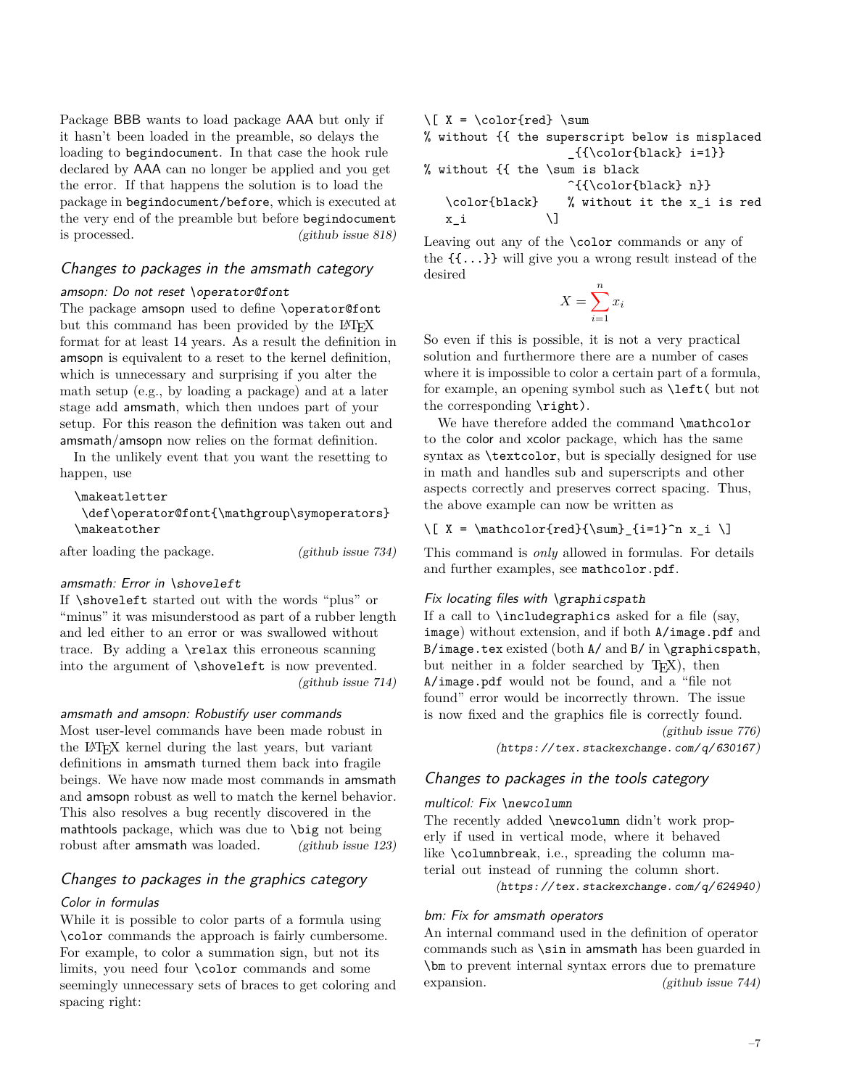Package BBB wants to load package AAA but only if it hasn't been loaded in the preamble, so delays the loading to begindocument. In that case the hook rule declared by AAA can no longer be applied and you get the error. If that happens the solution is to load the package in begindocument/before, which is executed at the very end of the preamble but before begindocument is processed. [\(github issue 818\)](https://github.com/latex3/latex2e/issues/818)

# <span id="page-6-0"></span>Changes to packages in the amsmath category

#### <span id="page-6-1"></span>amsopn: Do not reset \operator@font

The package amsopn used to define \operator@font but this command has been provided by the LAT<sub>EX</sub> format for at least 14 years. As a result the definition in amsopn is equivalent to a reset to the kernel definition, which is unnecessary and surprising if you alter the math setup (e.g., by loading a package) and at a later stage add amsmath, which then undoes part of your setup. For this reason the definition was taken out and amsmath/amsopn now relies on the format definition.

In the unlikely event that you want the resetting to happen, use

## \makeatletter \def\operator@font{\mathgroup\symoperators} \makeatother

after loading the package. [\(github issue 734\)](https://github.com/latex3/latex2e/issues/734)

#### <span id="page-6-2"></span>amsmath: Error in \shoveleft

If \shoveleft started out with the words "plus" or "minus" it was misunderstood as part of a rubber length and led either to an error or was swallowed without trace. By adding a \relax this erroneous scanning into the argument of \shoveleft is now prevented. [\(github issue 714\)](https://github.com/latex3/latex2e/issues/714)

<span id="page-6-3"></span>amsmath and amsopn: Robustify user commands

Most user-level commands have been made robust in the LATEX kernel during the last years, but variant definitions in amsmath turned them back into fragile beings. We have now made most commands in amsmath and amsopn robust as well to match the kernel behavior. This also resolves a bug recently discovered in the mathtools package, which was due to \big not being robust after **amsmath** was loaded. [\(github issue 123\)](https://github.com/latex3/latex2e/issues/123)

# <span id="page-6-4"></span>Changes to packages in the graphics category

#### <span id="page-6-5"></span>Color in formulas

While it is possible to color parts of a formula using \color commands the approach is fairly cumbersome. For example, to color a summation sign, but not its limits, you need four \color commands and some seemingly unnecessary sets of braces to get coloring and spacing right:

 $\{ Y = \color{red} \cdot \text{red} \}$ % without {{ the superscript below is misplaced \_{{\color{black} i=1}} % without {{ the \sum is black ^{{\color{black} n}} \color{black} % without it the x\_i is red  $x_i$   $\qquad \qquad \setminus$ 

Leaving out any of the \color commands or any of the {{...}} will give you a wrong result instead of the desired

$$
X = \sum_{i=1}^{n} x_i
$$

So even if this is possible, it is not a very practical solution and furthermore there are a number of cases where it is impossible to color a certain part of a formula, for example, an opening symbol such as \left( but not the corresponding \right).

We have therefore added the command \mathcolor to the color and xcolor package, which has the same syntax as \textcolor, but is specially designed for use in math and handles sub and superscripts and other aspects correctly and preserves correct spacing. Thus, the above example can now be written as

## $\[\ X = \mathcal{fred}\{\sum_{i=1}^n x_i \]$

This command is *only* allowed in formulas. For details and further examples, see mathcolor.pdf.

## <span id="page-6-6"></span>Fix locating files with \graphicspath

If a call to  $\cdot$  includegraphics asked for a file (say, image) without extension, and if both A/image.pdf and B/image.tex existed (both  $A$ / and  $B$ / in \graphicspath, but neither in a folder searched by T<sub>E</sub>X), then A/image.pdf would not be found, and a "file not found" error would be incorrectly thrown. The issue is now fixed and the graphics file is correctly found.

> [\(github issue 776\)](https://github.com/latex3/latex2e/issues/776) ([https: // tex. stackexchange. com/ q/ 630167](https://tex.stackexchange.com/q/630167))

## <span id="page-6-7"></span>Changes to packages in the tools category

#### <span id="page-6-8"></span>multicol: Fix \newcolumn

The recently added \newcolumn didn't work properly if used in vertical mode, where it behaved like \columnbreak, i.e., spreading the column material out instead of running the column short. ([https: // tex. stackexchange. com/ q/ 624940](https://tex.stackexchange.com/q/624940))

<span id="page-6-9"></span>bm: Fix for amsmath operators

An internal command used in the definition of operator commands such as \sin in amsmath has been guarded in \bm to prevent internal syntax errors due to premature expansion. [\(github issue 744\)](https://github.com/latex3/latex2e/issues/744)